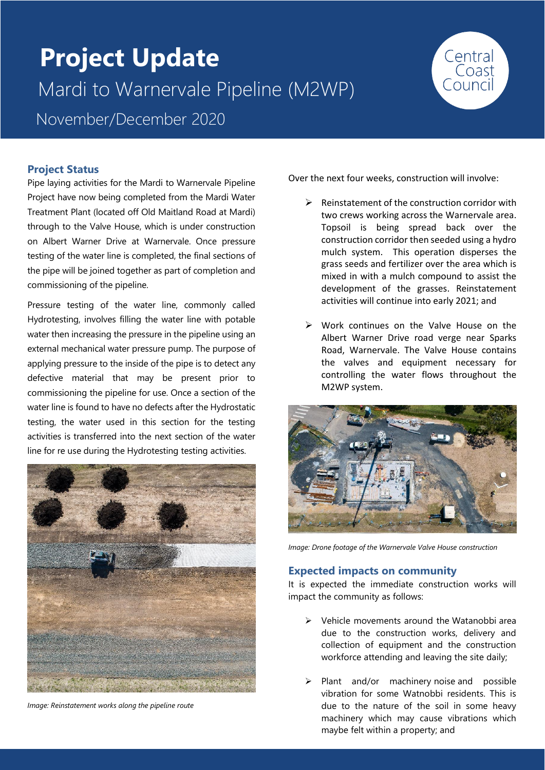# **Project Update** Mardi to Warnervale Pipeline (M2WP) November/December 2020



# **Project Status**

Pipe laying activities for the Mardi to Warnervale Pipeline Project have now being completed from the Mardi Water Treatment Plant (located off Old Maitland Road at Mardi) through to the Valve House, which is under construction on Albert Warner Drive at Warnervale. Once pressure testing of the water line is completed, the final sections of the pipe will be joined together as part of completion and commissioning of the pipeline.

Pressure testing of the water line, commonly called Hydrotesting, involves filling the water line with potable water then increasing the pressure in the pipeline using an external mechanical water pressure pump. The purpose of applying pressure to the inside of the pipe is to detect any defective material that may be present prior to commissioning the pipeline for use. Once a section of the water line is found to have no defects after the Hydrostatic testing, the water used in this section for the testing activities is transferred into the next section of the water line for re use during the Hydrotesting testing activities.



*Image: Reinstatement works along the pipeline route*

Over the next four weeks, construction will involve:

- $\triangleright$  Reinstatement of the construction corridor with two crews working across the Warnervale area. Topsoil is being spread back over the construction corridor then seeded using a hydro mulch system. This operation disperses the grass seeds and fertilizer over the area which is mixed in with a mulch compound to assist the development of the grasses. Reinstatement activities will continue into early 2021; and
- ➢ Work continues on the Valve House on the Albert Warner Drive road verge near Sparks Road, Warnervale. The Valve House contains the valves and equipment necessary for controlling the water flows throughout the M2WP system.



*Image: Drone footage of the Warnervale Valve House construction* 

#### **Expected impacts on community**

It is expected the immediate construction works will impact the community as follows:

- ➢ Vehicle movements around the Watanobbi area due to the construction works, delivery and collection of equipment and the construction workforce attending and leaving the site daily;
- ➢ Plant and/or machinery noise and possible vibration for some Watnobbi residents. This is due to the nature of the soil in some heavy machinery which may cause vibrations which maybe felt within a property; and